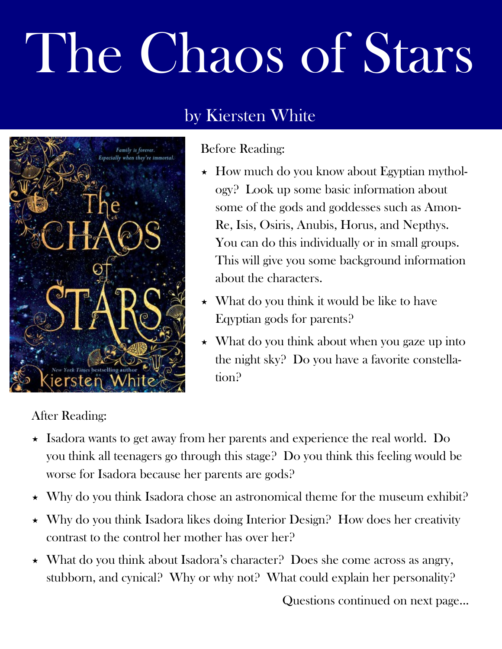## The Chaos of Stars





## Before Reading:

- $\star$  How much do you know about Egyptian mythology? Look up some basic information about some of the gods and goddesses such as Amon-Re, Isis, Osiris, Anubis, Horus, and Nepthys. You can do this individually or in small groups. This will give you some background information about the characters.
- $\star$  What do you think it would be like to have Eqyptian gods for parents?
- $\star$  What do you think about when you gaze up into the night sky? Do you have a favorite constellation?

## After Reading:

- $\star$  Isadora wants to get away from her parents and experience the real world. Do you think all teenagers go through this stage? Do you think this feeling would be worse for Isadora because her parents are gods?
- $\star$  Why do you think Isadora chose an astronomical theme for the museum exhibit?
- $\star$  Why do you think Isadora likes doing Interior Design? How does her creativity contrast to the control her mother has over her?
- $\star$  What do you think about Isadora's character? Does she come across as angry, stubborn, and cynical? Why or why not? What could explain her personality?

Questions continued on next page...